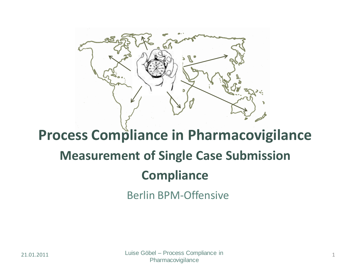

### **Process Compliance in Pharmacovigilance Measurement of Single Case Submission Compliance**

Berlin BPM-Offensive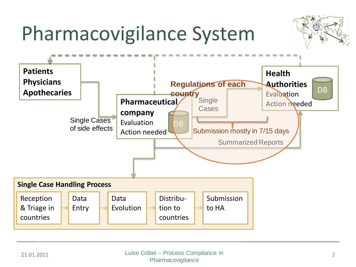## Pharmacovigilance System



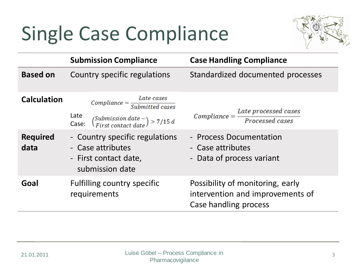## Single Case Compliance



|                                               | <b>Submission Compliance</b>                                                                                                                                                                                                       | <b>Case Handling Compliance</b>                                                                                                            |
|-----------------------------------------------|------------------------------------------------------------------------------------------------------------------------------------------------------------------------------------------------------------------------------------|--------------------------------------------------------------------------------------------------------------------------------------------|
| <b>Based on</b>                               | Country specific regulations                                                                                                                                                                                                       | Standardized documented processes                                                                                                          |
| <b>Calculation</b><br><b>Required</b><br>data | $Compliance = \frac{Date \ cases}{Submitted \ cases}$<br>Late<br>Case: $\binom{Submission date -}{First contact date}$ > 7/15 d<br>- Country specific regulations<br>- Case attributes<br>- First contact date,<br>submission date | $Compliance = \frac{Later\ processed\ cases}{Proceed\ cases}$<br>- Process Documentation<br>- Case attributes<br>- Data of process variant |
| Goal                                          | <b>Fulfilling country specific</b><br>requirements                                                                                                                                                                                 | Possibility of monitoring, early<br>intervention and improvements of<br>Case handling process                                              |